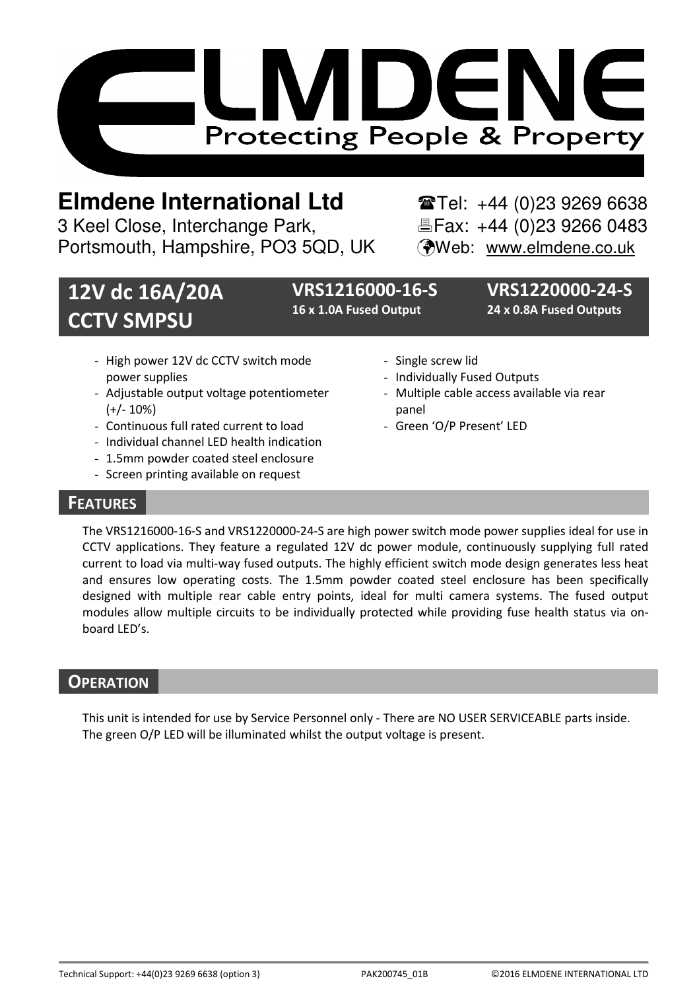

# **Elmdene International Ltd** Tel: +44 (0)23 9269 6638

3 Keel Close, Interchange Park, Fax: +44 (0)23 9266 0483 Portsmouth, Hampshire, PO3 5QD, UK (Web: www.elmdene.co.uk

# 12V dc 16A/20A CCTV SMPSU

16 x 1.0A Fused Output 24 x 0.8A Fused Outputs

VRS1216000-16-S VRS1220000-24-S

- High power 12V dc CCTV switch mode power supplies
- Adjustable output voltage potentiometer (+/- 10%)
- Continuous full rated current to load
- Individual channel LED health indication
- 1.5mm powder coated steel enclosure
- Screen printing available on request
- Single screw lid
- Individually Fused Outputs
- Multiple cable access available via rear panel
- Green 'O/P Present' LED

## **FEATURES**

The VRS1216000-16-S and VRS1220000-24-S are high power switch mode power supplies ideal for use in CCTV applications. They feature a regulated 12V dc power module, continuously supplying full rated current to load via multi-way fused outputs. The highly efficient switch mode design generates less heat and ensures low operating costs. The 1.5mm powder coated steel enclosure has been specifically designed with multiple rear cable entry points, ideal for multi camera systems. The fused output modules allow multiple circuits to be individually protected while providing fuse health status via onboard LED's.

## **OPERATION**

This unit is intended for use by Service Personnel only - There are NO USER SERVICEABLE parts inside. The green O/P LED will be illuminated whilst the output voltage is present.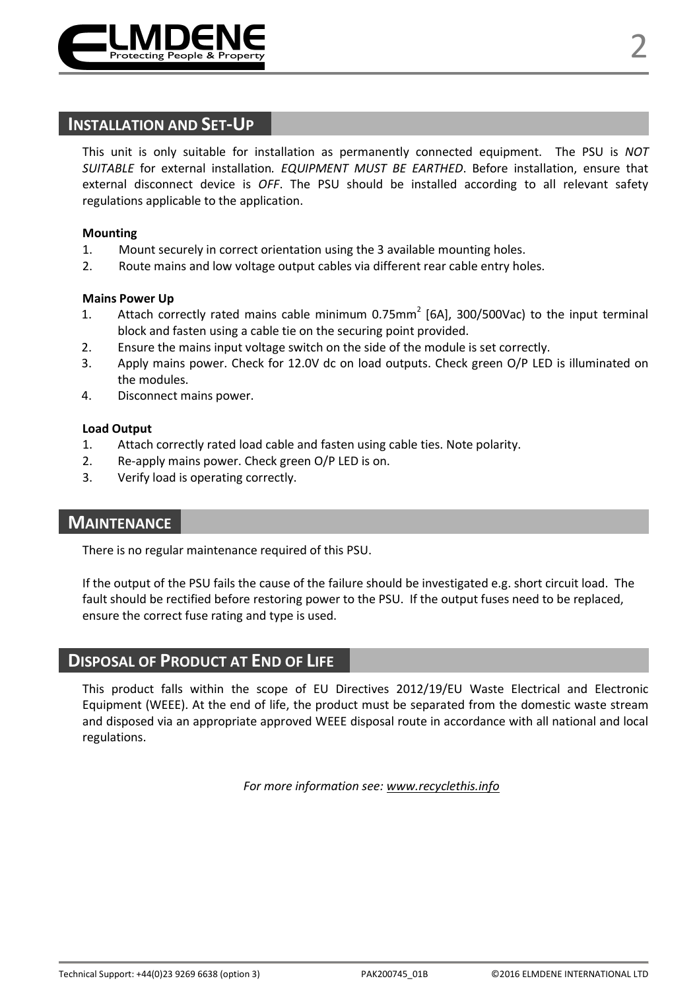

This unit is only suitable for installation as permanently connected equipment. The PSU is NOT SUITABLE for external installation. EQUIPMENT MUST BE EARTHED. Before installation, ensure that external disconnect device is OFF. The PSU should be installed according to all relevant safety regulations applicable to the application.

#### Mounting

- 1. Mount securely in correct orientation using the 3 available mounting holes.
- 2. Route mains and low voltage output cables via different rear cable entry holes.

#### Mains Power Up

- 1. Attach correctly rated mains cable minimum 0.75mm<sup>2</sup> [6A], 300/500Vac) to the input terminal block and fasten using a cable tie on the securing point provided.
- 2. Ensure the mains input voltage switch on the side of the module is set correctly.
- 3. Apply mains power. Check for 12.0V dc on load outputs. Check green O/P LED is illuminated on the modules.
- 4. Disconnect mains power.

#### Load Output

- 1. Attach correctly rated load cable and fasten using cable ties. Note polarity.
- 2. Re-apply mains power. Check green O/P LED is on.
- 3. Verify load is operating correctly.

## **MAINTENANCE**

There is no regular maintenance required of this PSU.

If the output of the PSU fails the cause of the failure should be investigated e.g. short circuit load. The fault should be rectified before restoring power to the PSU. If the output fuses need to be replaced, ensure the correct fuse rating and type is used.

## DISPOSAL OF PRODUCT AT END OF LIFE

This product falls within the scope of EU Directives 2012/19/EU Waste Electrical and Electronic Equipment (WEEE). At the end of life, the product must be separated from the domestic waste stream and disposed via an appropriate approved WEEE disposal route in accordance with all national and local regulations.

For more information see: www.recyclethis.info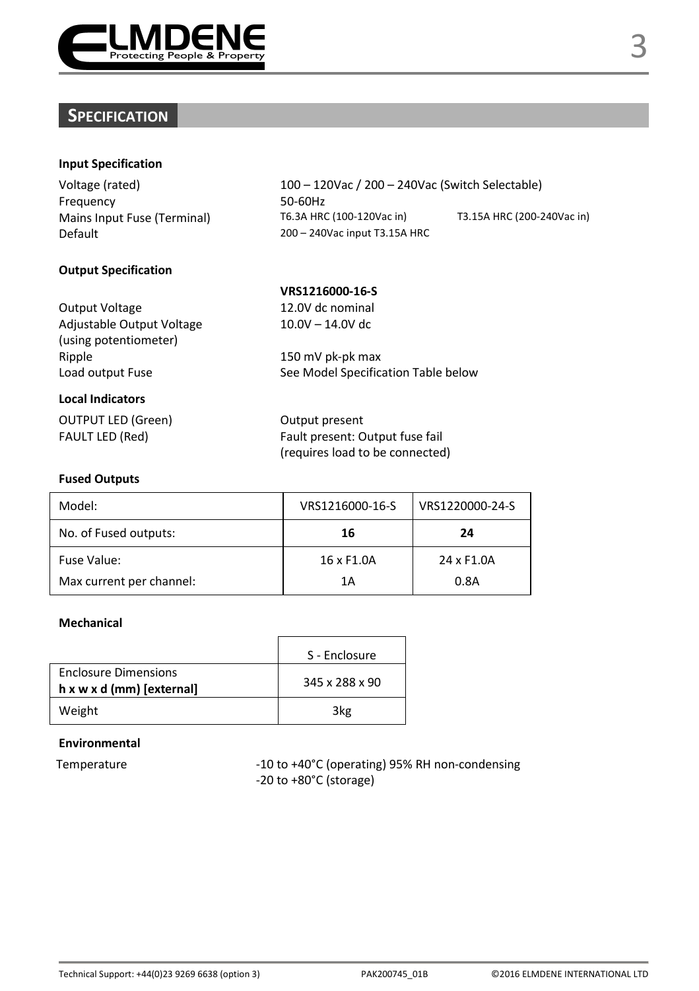

## **SPECIFICATION**

## Input Specification

Frequency 50-60Hz Default 200 – 240Vac input T3.15A HRC

Voltage (rated) 100 – 120Vac / 200 – 240Vac (Switch Selectable) Mains Input Fuse (Terminal) T6.3A HRC (100-120Vac in) T3.15A HRC (200-240Vac in)

## Output Specification

|                           | VRS1216000-16-S                     |
|---------------------------|-------------------------------------|
| <b>Output Voltage</b>     | 12.0V dc nominal                    |
| Adjustable Output Voltage | $10.0V - 14.0V$ dc                  |
| (using potentiometer)     |                                     |
| Ripple                    | 150 mV pk-pk max                    |
| Load output Fuse          | See Model Specification Table below |
| <b>Local Indicators</b>   |                                     |
| <b>OUTPUT LED (Green)</b> | Output present                      |

FAULT LED (Red) Fault present: Output fuse fail (requires load to be connected)

#### Fused Outputs

| Model:                   | VRS1216000-16-S | VRS1220000-24-S |
|--------------------------|-----------------|-----------------|
| No. of Fused outputs:    | 16              | 24              |
| Fuse Value:              | 16 x F1.0A      | 24 x F1.0A      |
| Max current per channel: | 1Α              | 0.8A            |

## Mechanical

|                                                   | S - Enclosure  |
|---------------------------------------------------|----------------|
| Enclosure Dimensions<br>h x w x d (mm) [external] | 345 x 288 x 90 |
| Weight                                            | 3kg            |

### Environmental

Temperature -10 to +40°C (operating) 95% RH non-condensing -20 to +80°C (storage)